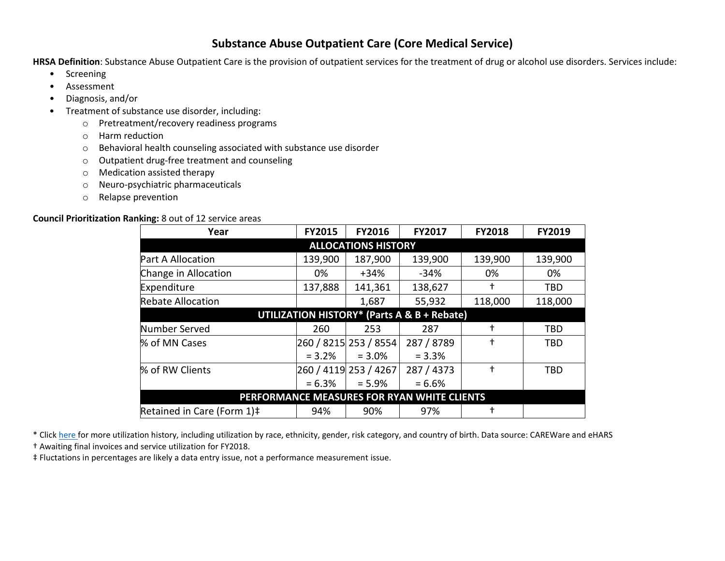## **Substance Abuse Outpatient Care (Core Medical Service)**

**HRSA Definition**: Substance Abuse Outpatient Care is the provision of outpatient services for the treatment of drug or alcohol use disorders. Services include:

- Screening
- Assessment
- Diagnosis, and/or
- Treatment of substance use disorder, including:
	- o Pretreatment/recovery readiness programs
	- o Harm reduction
	- o Behavioral health counseling associated with substance use disorder
	- o Outpatient drug-free treatment and counseling
	- o Medication assisted therapy
	- o Neuro-psychiatric pharmaceuticals
	- o Relapse prevention

## **Council Prioritization Ranking:** 8 out of 12 service areas

| Year                                        | <b>FY2015</b> | <b>FY2016</b>         | FY2017     | <b>FY2018</b> | FY2019     |
|---------------------------------------------|---------------|-----------------------|------------|---------------|------------|
| <b>ALLOCATIONS HISTORY</b>                  |               |                       |            |               |            |
| <b>Part A Allocation</b>                    | 139,900       | 187,900               | 139,900    | 139,900       | 139,900    |
| Change in Allocation                        | 0%            | $+34%$                | $-34%$     | 0%            | 0%         |
| Expenditure                                 | 137,888       | 141,361               | 138,627    | t             | <b>TBD</b> |
| <b>Rebate Allocation</b>                    |               | 1,687                 | 55,932     | 118,000       | 118,000    |
| UTILIZATION HISTORY* (Parts A & B + Rebate) |               |                       |            |               |            |
| Number Served                               | 260           | 253                   | 287        | t             | TBD        |
| % of MN Cases                               |               | 260 / 8215 253 / 8554 | 287 / 8789 | t             | <b>TBD</b> |
|                                             | $= 3.2%$      | $= 3.0\%$             | $= 3.3%$   |               |            |
| % of RW Clients                             |               | 260 / 4119 253 / 4267 | 287 / 4373 | t             | <b>TBD</b> |
|                                             | $= 6.3\%$     | $= 5.9%$              | $= 6.6%$   |               |            |
| PERFORMANCE MEASURES FOR RYAN WHITE CLIENTS |               |                       |            |               |            |
| Retained in Care (Form 1)#                  | 94%           | 90%                   | 97%        | t             |            |

\* Click [here f](http://www.mnhivcouncil.org/uploads/3/4/7/5/34759483/core_medical_sars.pdf)or more utilization history, including utilization by race, ethnicity, gender, risk category, and country of birth. Data source: CAREWare and eHARS

† Awaiting final invoices and service utilization for FY2018.

‡ Fluctations in percentages are likely a data entry issue, not a performance measurement issue.